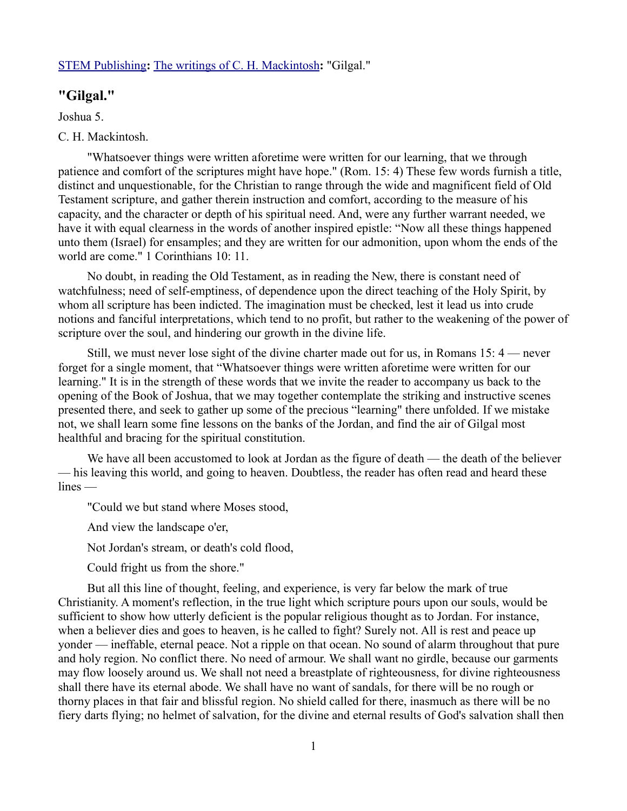### [STEM Publishing](http://www.stempublishing.com/)**:** [The writings of C. H. Mackintosh](http://www.stempublishing.com/authors/mackintosh/index.html)**:** "Gilgal."

# **"Gilgal."**

Joshua 5.

### C. H. Mackintosh.

"Whatsoever things were written aforetime were written for our learning, that we through patience and comfort of the scriptures might have hope." (Rom. 15: 4) These few words furnish a title, distinct and unquestionable, for the Christian to range through the wide and magnificent field of Old Testament scripture, and gather therein instruction and comfort, according to the measure of his capacity, and the character or depth of his spiritual need. And, were any further warrant needed, we have it with equal clearness in the words of another inspired epistle: "Now all these things happened unto them (Israel) for ensamples; and they are written for our admonition, upon whom the ends of the world are come." 1 Corinthians 10: 11.

No doubt, in reading the Old Testament, as in reading the New, there is constant need of watchfulness; need of self-emptiness, of dependence upon the direct teaching of the Holy Spirit, by whom all scripture has been indicted. The imagination must be checked, lest it lead us into crude notions and fanciful interpretations, which tend to no profit, but rather to the weakening of the power of scripture over the soul, and hindering our growth in the divine life.

Still, we must never lose sight of the divine charter made out for us, in Romans 15: 4 — never forget for a single moment, that "Whatsoever things were written aforetime were written for our learning." It is in the strength of these words that we invite the reader to accompany us back to the opening of the Book of Joshua, that we may together contemplate the striking and instructive scenes presented there, and seek to gather up some of the precious "learning" there unfolded. If we mistake not, we shall learn some fine lessons on the banks of the Jordan, and find the air of Gilgal most healthful and bracing for the spiritual constitution.

We have all been accustomed to look at Jordan as the figure of death — the death of the believer — his leaving this world, and going to heaven. Doubtless, the reader has often read and heard these lines —

"Could we but stand where Moses stood,

And view the landscape o'er,

Not Jordan's stream, or death's cold flood,

Could fright us from the shore."

But all this line of thought, feeling, and experience, is very far below the mark of true Christianity. A moment's reflection, in the true light which scripture pours upon our souls, would be sufficient to show how utterly deficient is the popular religious thought as to Jordan. For instance, when a believer dies and goes to heaven, is he called to fight? Surely not. All is rest and peace up yonder — ineffable, eternal peace. Not a ripple on that ocean. No sound of alarm throughout that pure and holy region. No conflict there. No need of armour. We shall want no girdle, because our garments may flow loosely around us. We shall not need a breastplate of righteousness, for divine righteousness shall there have its eternal abode. We shall have no want of sandals, for there will be no rough or thorny places in that fair and blissful region. No shield called for there, inasmuch as there will be no fiery darts flying; no helmet of salvation, for the divine and eternal results of God's salvation shall then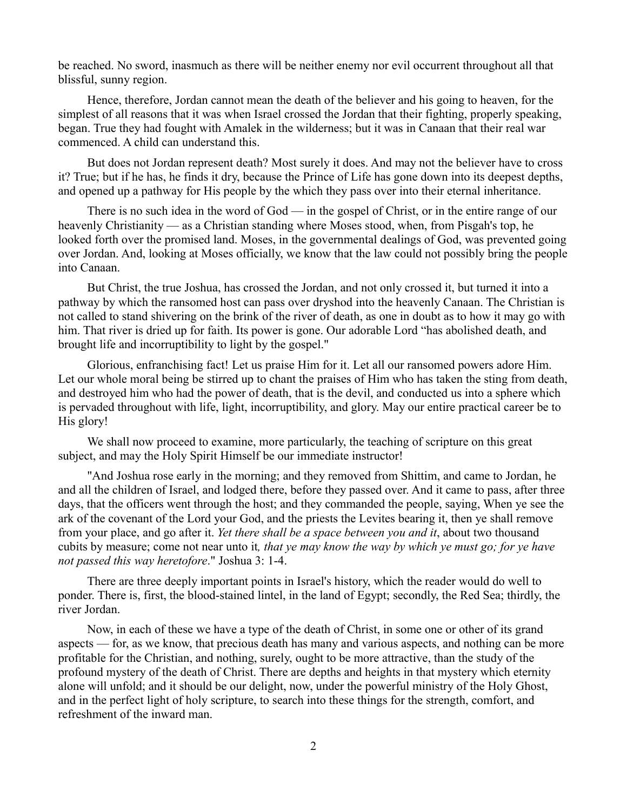be reached. No sword, inasmuch as there will be neither enemy nor evil occurrent throughout all that blissful, sunny region.

Hence, therefore, Jordan cannot mean the death of the believer and his going to heaven, for the simplest of all reasons that it was when Israel crossed the Jordan that their fighting, properly speaking, began. True they had fought with Amalek in the wilderness; but it was in Canaan that their real war commenced. A child can understand this.

But does not Jordan represent death? Most surely it does. And may not the believer have to cross it? True; but if he has, he finds it dry, because the Prince of Life has gone down into its deepest depths, and opened up a pathway for His people by the which they pass over into their eternal inheritance.

There is no such idea in the word of God — in the gospel of Christ, or in the entire range of our heavenly Christianity — as a Christian standing where Moses stood, when, from Pisgah's top, he looked forth over the promised land. Moses, in the governmental dealings of God, was prevented going over Jordan. And, looking at Moses officially, we know that the law could not possibly bring the people into Canaan.

But Christ, the true Joshua, has crossed the Jordan, and not only crossed it, but turned it into a pathway by which the ransomed host can pass over dryshod into the heavenly Canaan. The Christian is not called to stand shivering on the brink of the river of death, as one in doubt as to how it may go with him. That river is dried up for faith. Its power is gone. Our adorable Lord "has abolished death, and brought life and incorruptibility to light by the gospel."

Glorious, enfranchising fact! Let us praise Him for it. Let all our ransomed powers adore Him. Let our whole moral being be stirred up to chant the praises of Him who has taken the sting from death, and destroyed him who had the power of death, that is the devil, and conducted us into a sphere which is pervaded throughout with life, light, incorruptibility, and glory. May our entire practical career be to His glory!

We shall now proceed to examine, more particularly, the teaching of scripture on this great subject, and may the Holy Spirit Himself be our immediate instructor!

"And Joshua rose early in the morning; and they removed from Shittim, and came to Jordan, he and all the children of Israel, and lodged there, before they passed over. And it came to pass, after three days, that the officers went through the host; and they commanded the people, saying, When ye see the ark of the covenant of the Lord your God, and the priests the Levites bearing it, then ye shall remove from your place, and go after it. *Yet there shall be a space between you and it*, about two thousand cubits by measure; come not near unto it*, that ye may know the way by which ye must go; for ye have not passed this way heretofore*." Joshua 3: 1-4.

There are three deeply important points in Israel's history, which the reader would do well to ponder. There is, first, the blood-stained lintel, in the land of Egypt; secondly, the Red Sea; thirdly, the river Jordan.

Now, in each of these we have a type of the death of Christ, in some one or other of its grand aspects — for, as we know, that precious death has many and various aspects, and nothing can be more profitable for the Christian, and nothing, surely, ought to be more attractive, than the study of the profound mystery of the death of Christ. There are depths and heights in that mystery which eternity alone will unfold; and it should be our delight, now, under the powerful ministry of the Holy Ghost, and in the perfect light of holy scripture, to search into these things for the strength, comfort, and refreshment of the inward man.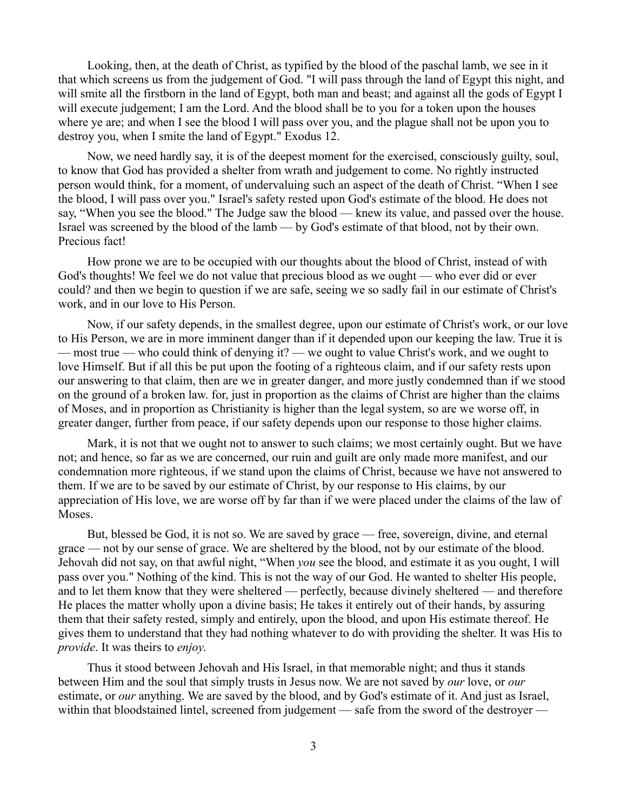Looking, then, at the death of Christ, as typified by the blood of the paschal lamb, we see in it that which screens us from the judgement of God. "I will pass through the land of Egypt this night, and will smite all the firstborn in the land of Egypt, both man and beast; and against all the gods of Egypt I will execute judgement; I am the Lord. And the blood shall be to you for a token upon the houses where ye are; and when I see the blood I will pass over you, and the plague shall not be upon you to destroy you, when I smite the land of Egypt." Exodus 12.

Now, we need hardly say, it is of the deepest moment for the exercised, consciously guilty, soul, to know that God has provided a shelter from wrath and judgement to come. No rightly instructed person would think, for a moment, of undervaluing such an aspect of the death of Christ. "When I see the blood, I will pass over you." Israel's safety rested upon God's estimate of the blood. He does not say, "When you see the blood." The Judge saw the blood — knew its value, and passed over the house. Israel was screened by the blood of the lamb — by God's estimate of that blood, not by their own. Precious fact!

How prone we are to be occupied with our thoughts about the blood of Christ, instead of with God's thoughts! We feel we do not value that precious blood as we ought — who ever did or ever could? and then we begin to question if we are safe, seeing we so sadly fail in our estimate of Christ's work, and in our love to His Person.

Now, if our safety depends, in the smallest degree, upon our estimate of Christ's work, or our love to His Person, we are in more imminent danger than if it depended upon our keeping the law. True it is — most true — who could think of denying it? — we ought to value Christ's work, and we ought to love Himself. But if all this be put upon the footing of a righteous claim, and if our safety rests upon our answering to that claim, then are we in greater danger, and more justly condemned than if we stood on the ground of a broken law. for, just in proportion as the claims of Christ are higher than the claims of Moses, and in proportion as Christianity is higher than the legal system, so are we worse off, in greater danger, further from peace, if our safety depends upon our response to those higher claims.

Mark, it is not that we ought not to answer to such claims; we most certainly ought. But we have not; and hence, so far as we are concerned, our ruin and guilt are only made more manifest, and our condemnation more righteous, if we stand upon the claims of Christ, because we have not answered to them. If we are to be saved by our estimate of Christ, by our response to His claims, by our appreciation of His love, we are worse off by far than if we were placed under the claims of the law of Moses.

But, blessed be God, it is not so. We are saved by grace — free, sovereign, divine, and eternal grace — not by our sense of grace. We are sheltered by the blood, not by our estimate of the blood. Jehovah did not say, on that awful night, "When *you* see the blood, and estimate it as you ought, I will pass over you." Nothing of the kind. This is not the way of our God. He wanted to shelter His people, and to let them know that they were sheltered — perfectly, because divinely sheltered — and therefore He places the matter wholly upon a divine basis; He takes it entirely out of their hands, by assuring them that their safety rested, simply and entirely, upon the blood, and upon His estimate thereof. He gives them to understand that they had nothing whatever to do with providing the shelter. It was His to *provide*. It was theirs to *enjoy*.

Thus it stood between Jehovah and His Israel, in that memorable night; and thus it stands between Him and the soul that simply trusts in Jesus now. We are not saved by *our* love, or *our* estimate, or *our* anything. We are saved by the blood, and by God's estimate of it. And just as Israel, within that bloodstained lintel, screened from judgement — safe from the sword of the destroyer —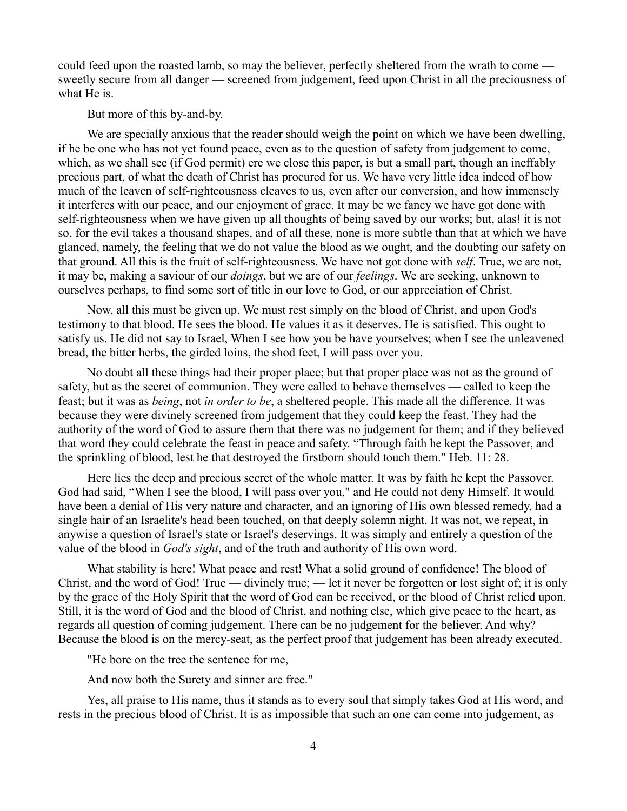could feed upon the roasted lamb, so may the believer, perfectly sheltered from the wrath to come sweetly secure from all danger — screened from judgement, feed upon Christ in all the preciousness of what He is.

But more of this by-and-by.

We are specially anxious that the reader should weigh the point on which we have been dwelling, if he be one who has not yet found peace, even as to the question of safety from judgement to come, which, as we shall see (if God permit) ere we close this paper, is but a small part, though an ineffably precious part, of what the death of Christ has procured for us. We have very little idea indeed of how much of the leaven of self-righteousness cleaves to us, even after our conversion, and how immensely it interferes with our peace, and our enjoyment of grace. It may be we fancy we have got done with self-righteousness when we have given up all thoughts of being saved by our works; but, alas! it is not so, for the evil takes a thousand shapes, and of all these, none is more subtle than that at which we have glanced, namely, the feeling that we do not value the blood as we ought, and the doubting our safety on that ground. All this is the fruit of self-righteousness. We have not got done with *self*. True, we are not, it may be, making a saviour of our *doings*, but we are of our *feelings*. We are seeking, unknown to ourselves perhaps, to find some sort of title in our love to God, or our appreciation of Christ.

Now, all this must be given up. We must rest simply on the blood of Christ, and upon God's testimony to that blood. He sees the blood. He values it as it deserves. He is satisfied. This ought to satisfy us. He did not say to Israel, When I see how you be have yourselves; when I see the unleavened bread, the bitter herbs, the girded loins, the shod feet, I will pass over you.

No doubt all these things had their proper place; but that proper place was not as the ground of safety, but as the secret of communion. They were called to behave themselves — called to keep the feast; but it was as *being*, not *in order to be*, a sheltered people. This made all the difference. It was because they were divinely screened from judgement that they could keep the feast. They had the authority of the word of God to assure them that there was no judgement for them; and if they believed that word they could celebrate the feast in peace and safety. "Through faith he kept the Passover, and the sprinkling of blood, lest he that destroyed the firstborn should touch them." Heb. 11: 28.

Here lies the deep and precious secret of the whole matter. It was by faith he kept the Passover. God had said, "When I see the blood, I will pass over you," and He could not deny Himself. It would have been a denial of His very nature and character, and an ignoring of His own blessed remedy, had a single hair of an Israelite's head been touched, on that deeply solemn night. It was not, we repeat, in anywise a question of Israel's state or Israel's deservings. It was simply and entirely a question of the value of the blood in *God's sight*, and of the truth and authority of His own word.

What stability is here! What peace and rest! What a solid ground of confidence! The blood of Christ, and the word of God! True — divinely true; — let it never be forgotten or lost sight of; it is only by the grace of the Holy Spirit that the word of God can be received, or the blood of Christ relied upon. Still, it is the word of God and the blood of Christ, and nothing else, which give peace to the heart, as regards all question of coming judgement. There can be no judgement for the believer. And why? Because the blood is on the mercy-seat, as the perfect proof that judgement has been already executed.

"He bore on the tree the sentence for me,

And now both the Surety and sinner are free."

Yes, all praise to His name, thus it stands as to every soul that simply takes God at His word, and rests in the precious blood of Christ. It is as impossible that such an one can come into judgement, as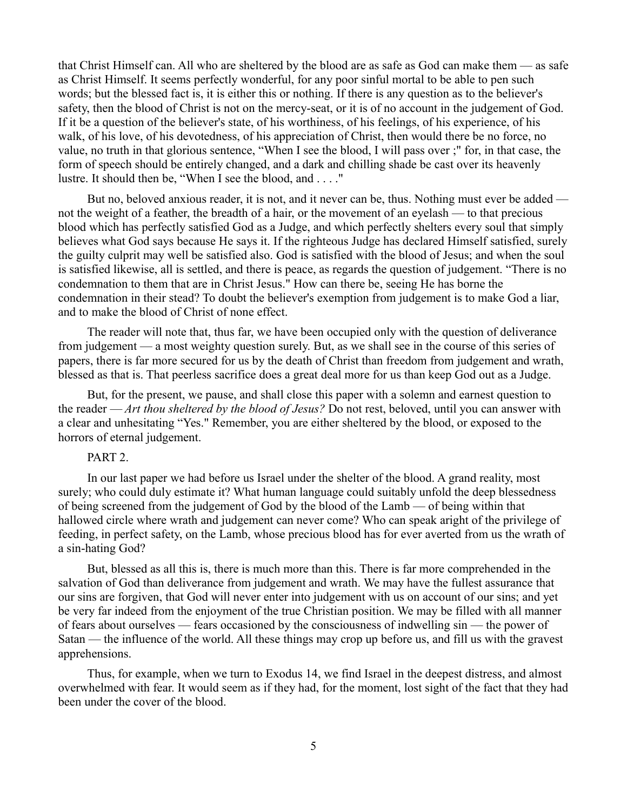that Christ Himself can. All who are sheltered by the blood are as safe as God can make them — as safe as Christ Himself. It seems perfectly wonderful, for any poor sinful mortal to be able to pen such words; but the blessed fact is, it is either this or nothing. If there is any question as to the believer's safety, then the blood of Christ is not on the mercy-seat, or it is of no account in the judgement of God. If it be a question of the believer's state, of his worthiness, of his feelings, of his experience, of his walk, of his love, of his devotedness, of his appreciation of Christ, then would there be no force, no value, no truth in that glorious sentence, "When I see the blood, I will pass over ;" for, in that case, the form of speech should be entirely changed, and a dark and chilling shade be cast over its heavenly lustre. It should then be, "When I see the blood, and . . . ."

But no, beloved anxious reader, it is not, and it never can be, thus. Nothing must ever be added not the weight of a feather, the breadth of a hair, or the movement of an eyelash — to that precious blood which has perfectly satisfied God as a Judge, and which perfectly shelters every soul that simply believes what God says because He says it. If the righteous Judge has declared Himself satisfied, surely the guilty culprit may well be satisfied also. God is satisfied with the blood of Jesus; and when the soul is satisfied likewise, all is settled, and there is peace, as regards the question of judgement. "There is no condemnation to them that are in Christ Jesus." How can there be, seeing He has borne the condemnation in their stead? To doubt the believer's exemption from judgement is to make God a liar, and to make the blood of Christ of none effect.

The reader will note that, thus far, we have been occupied only with the question of deliverance from judgement — a most weighty question surely. But, as we shall see in the course of this series of papers, there is far more secured for us by the death of Christ than freedom from judgement and wrath, blessed as that is. That peerless sacrifice does a great deal more for us than keep God out as a Judge.

But, for the present, we pause, and shall close this paper with a solemn and earnest question to the reader — *Art thou sheltered by the blood of Jesus?* Do not rest, beloved, until you can answer with a clear and unhesitating "Yes." Remember, you are either sheltered by the blood, or exposed to the horrors of eternal judgement.

#### PART 2.

In our last paper we had before us Israel under the shelter of the blood. A grand reality, most surely; who could duly estimate it? What human language could suitably unfold the deep blessedness of being screened from the judgement of God by the blood of the Lamb — of being within that hallowed circle where wrath and judgement can never come? Who can speak aright of the privilege of feeding, in perfect safety, on the Lamb, whose precious blood has for ever averted from us the wrath of a sin-hating God?

But, blessed as all this is, there is much more than this. There is far more comprehended in the salvation of God than deliverance from judgement and wrath. We may have the fullest assurance that our sins are forgiven, that God will never enter into judgement with us on account of our sins; and yet be very far indeed from the enjoyment of the true Christian position. We may be filled with all manner of fears about ourselves — fears occasioned by the consciousness of indwelling sin — the power of Satan — the influence of the world. All these things may crop up before us, and fill us with the gravest apprehensions.

Thus, for example, when we turn to Exodus 14, we find Israel in the deepest distress, and almost overwhelmed with fear. It would seem as if they had, for the moment, lost sight of the fact that they had been under the cover of the blood.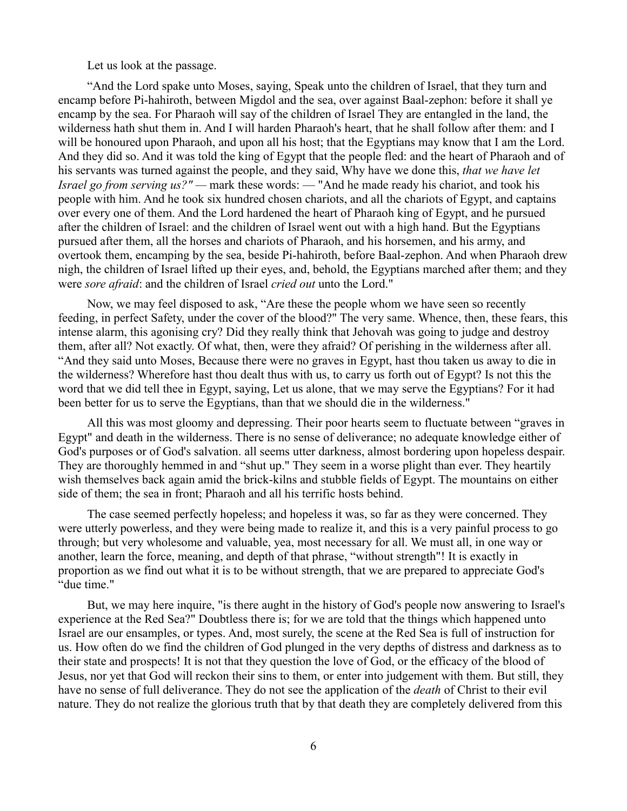Let us look at the passage.

"And the Lord spake unto Moses, saying, Speak unto the children of Israel, that they turn and encamp before Pi-hahiroth, between Migdol and the sea, over against Baal-zephon: before it shall ye encamp by the sea. For Pharaoh will say of the children of Israel They are entangled in the land, the wilderness hath shut them in. And I will harden Pharaoh's heart, that he shall follow after them: and I will be honoured upon Pharaoh, and upon all his host; that the Egyptians may know that I am the Lord. And they did so. And it was told the king of Egypt that the people fled: and the heart of Pharaoh and of his servants was turned against the people, and they said, Why have we done this, *that we have let Israel go from serving us?" —* mark these words: — "And he made ready his chariot, and took his people with him. And he took six hundred chosen chariots, and all the chariots of Egypt, and captains over every one of them. And the Lord hardened the heart of Pharaoh king of Egypt, and he pursued after the children of Israel: and the children of Israel went out with a high hand. But the Egyptians pursued after them, all the horses and chariots of Pharaoh, and his horsemen, and his army, and overtook them, encamping by the sea, beside Pi-hahiroth, before Baal-zephon. And when Pharaoh drew nigh, the children of Israel lifted up their eyes, and, behold, the Egyptians marched after them; and they were *sore afraid*: and the children of Israel *cried out* unto the Lord."

Now, we may feel disposed to ask, "Are these the people whom we have seen so recently feeding, in perfect Safety, under the cover of the blood?" The very same. Whence, then, these fears, this intense alarm, this agonising cry? Did they really think that Jehovah was going to judge and destroy them, after all? Not exactly. Of what, then, were they afraid? Of perishing in the wilderness after all. "And they said unto Moses, Because there were no graves in Egypt, hast thou taken us away to die in the wilderness? Wherefore hast thou dealt thus with us, to carry us forth out of Egypt? Is not this the word that we did tell thee in Egypt, saying, Let us alone, that we may serve the Egyptians? For it had been better for us to serve the Egyptians, than that we should die in the wilderness."

All this was most gloomy and depressing. Their poor hearts seem to fluctuate between "graves in Egypt" and death in the wilderness. There is no sense of deliverance; no adequate knowledge either of God's purposes or of God's salvation. all seems utter darkness, almost bordering upon hopeless despair. They are thoroughly hemmed in and "shut up." They seem in a worse plight than ever. They heartily wish themselves back again amid the brick-kilns and stubble fields of Egypt. The mountains on either side of them; the sea in front; Pharaoh and all his terrific hosts behind.

The case seemed perfectly hopeless; and hopeless it was, so far as they were concerned. They were utterly powerless, and they were being made to realize it, and this is a very painful process to go through; but very wholesome and valuable, yea, most necessary for all. We must all, in one way or another, learn the force, meaning, and depth of that phrase, "without strength"! It is exactly in proportion as we find out what it is to be without strength, that we are prepared to appreciate God's "due time."

But, we may here inquire, "is there aught in the history of God's people now answering to Israel's experience at the Red Sea?" Doubtless there is; for we are told that the things which happened unto Israel are our ensamples, or types. And, most surely, the scene at the Red Sea is full of instruction for us. How often do we find the children of God plunged in the very depths of distress and darkness as to their state and prospects! It is not that they question the love of God, or the efficacy of the blood of Jesus, nor yet that God will reckon their sins to them, or enter into judgement with them. But still, they have no sense of full deliverance. They do not see the application of the *death* of Christ to their evil nature. They do not realize the glorious truth that by that death they are completely delivered from this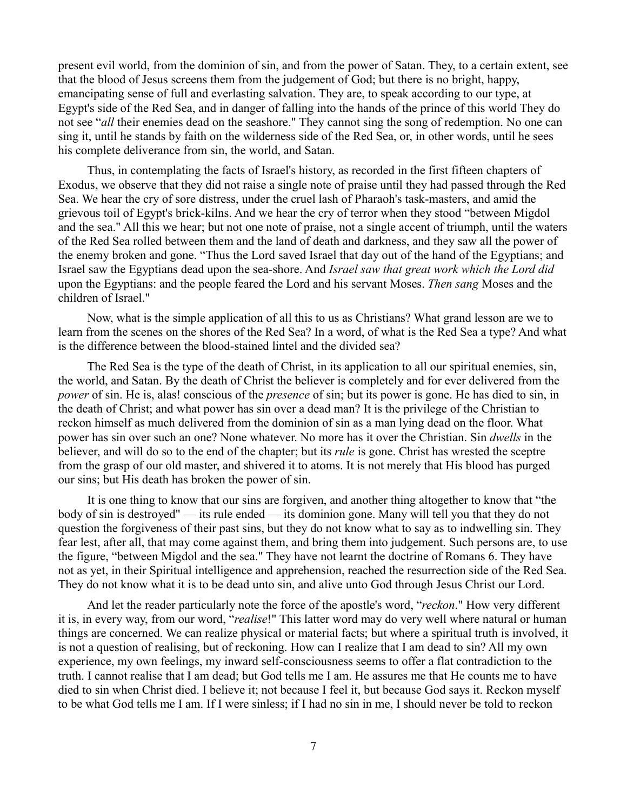present evil world, from the dominion of sin, and from the power of Satan. They, to a certain extent, see that the blood of Jesus screens them from the judgement of God; but there is no bright, happy, emancipating sense of full and everlasting salvation. They are, to speak according to our type, at Egypt's side of the Red Sea, and in danger of falling into the hands of the prince of this world They do not see "*all* their enemies dead on the seashore." They cannot sing the song of redemption. No one can sing it, until he stands by faith on the wilderness side of the Red Sea, or, in other words, until he sees his complete deliverance from sin, the world, and Satan.

Thus, in contemplating the facts of Israel's history, as recorded in the first fifteen chapters of Exodus, we observe that they did not raise a single note of praise until they had passed through the Red Sea. We hear the cry of sore distress, under the cruel lash of Pharaoh's task-masters, and amid the grievous toil of Egypt's brick-kilns. And we hear the cry of terror when they stood "between Migdol and the sea." All this we hear; but not one note of praise, not a single accent of triumph, until the waters of the Red Sea rolled between them and the land of death and darkness, and they saw all the power of the enemy broken and gone. "Thus the Lord saved Israel that day out of the hand of the Egyptians; and Israel saw the Egyptians dead upon the sea-shore. And *Israel saw that great work which the Lord did* upon the Egyptians: and the people feared the Lord and his servant Moses. *Then sang* Moses and the children of Israel."

Now, what is the simple application of all this to us as Christians? What grand lesson are we to learn from the scenes on the shores of the Red Sea? In a word, of what is the Red Sea a type? And what is the difference between the blood-stained lintel and the divided sea?

The Red Sea is the type of the death of Christ, in its application to all our spiritual enemies, sin, the world, and Satan. By the death of Christ the believer is completely and for ever delivered from the *power* of sin. He is, alas! conscious of the *presence* of sin; but its power is gone. He has died to sin, in the death of Christ; and what power has sin over a dead man? It is the privilege of the Christian to reckon himself as much delivered from the dominion of sin as a man lying dead on the floor. What power has sin over such an one? None whatever. No more has it over the Christian. Sin *dwells* in the believer, and will do so to the end of the chapter; but its *rule* is gone. Christ has wrested the sceptre from the grasp of our old master, and shivered it to atoms. It is not merely that His blood has purged our sins; but His death has broken the power of sin.

It is one thing to know that our sins are forgiven, and another thing altogether to know that "the body of sin is destroyed" — its rule ended — its dominion gone. Many will tell you that they do not question the forgiveness of their past sins, but they do not know what to say as to indwelling sin. They fear lest, after all, that may come against them, and bring them into judgement. Such persons are, to use the figure, "between Migdol and the sea." They have not learnt the doctrine of Romans 6. They have not as yet, in their Spiritual intelligence and apprehension, reached the resurrection side of the Red Sea. They do not know what it is to be dead unto sin, and alive unto God through Jesus Christ our Lord.

And let the reader particularly note the force of the apostle's word, "*reckon*." How very different it is, in every way, from our word, "*realise*!" This latter word may do very well where natural or human things are concerned. We can realize physical or material facts; but where a spiritual truth is involved, it is not a question of realising, but of reckoning. How can I realize that I am dead to sin? All my own experience, my own feelings, my inward self-consciousness seems to offer a flat contradiction to the truth. I cannot realise that I am dead; but God tells me I am. He assures me that He counts me to have died to sin when Christ died. I believe it; not because I feel it, but because God says it. Reckon myself to be what God tells me I am. If I were sinless; if I had no sin in me, I should never be told to reckon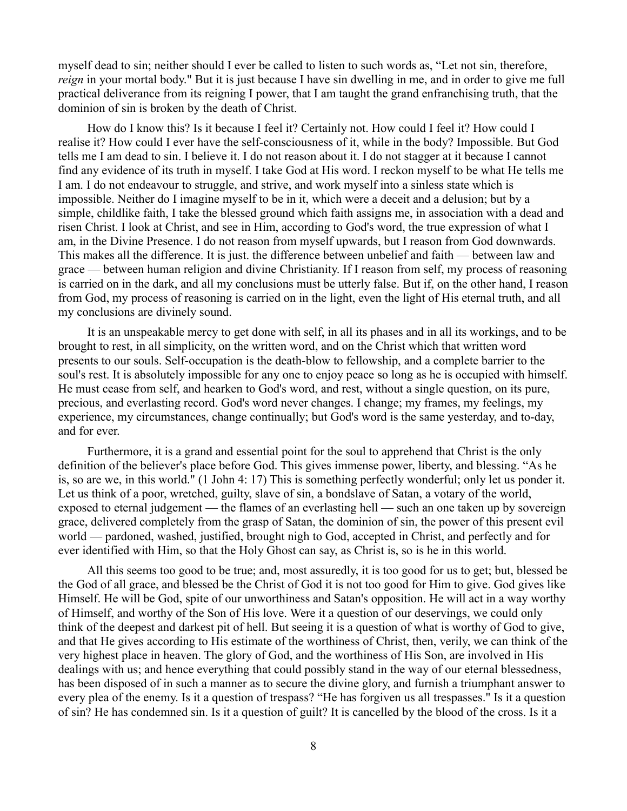myself dead to sin; neither should I ever be called to listen to such words as, "Let not sin, therefore, *reign* in your mortal body." But it is just because I have sin dwelling in me, and in order to give me full practical deliverance from its reigning I power, that I am taught the grand enfranchising truth, that the dominion of sin is broken by the death of Christ.

How do I know this? Is it because I feel it? Certainly not. How could I feel it? How could I realise it? How could I ever have the self-consciousness of it, while in the body? Impossible. But God tells me I am dead to sin. I believe it. I do not reason about it. I do not stagger at it because I cannot find any evidence of its truth in myself. I take God at His word. I reckon myself to be what He tells me I am. I do not endeavour to struggle, and strive, and work myself into a sinless state which is impossible. Neither do I imagine myself to be in it, which were a deceit and a delusion; but by a simple, childlike faith, I take the blessed ground which faith assigns me, in association with a dead and risen Christ. I look at Christ, and see in Him, according to God's word, the true expression of what I am, in the Divine Presence. I do not reason from myself upwards, but I reason from God downwards. This makes all the difference. It is just. the difference between unbelief and faith — between law and grace — between human religion and divine Christianity. If I reason from self, my process of reasoning is carried on in the dark, and all my conclusions must be utterly false. But if, on the other hand, I reason from God, my process of reasoning is carried on in the light, even the light of His eternal truth, and all my conclusions are divinely sound.

It is an unspeakable mercy to get done with self, in all its phases and in all its workings, and to be brought to rest, in all simplicity, on the written word, and on the Christ which that written word presents to our souls. Self-occupation is the death-blow to fellowship, and a complete barrier to the soul's rest. It is absolutely impossible for any one to enjoy peace so long as he is occupied with himself. He must cease from self, and hearken to God's word, and rest, without a single question, on its pure, precious, and everlasting record. God's word never changes. I change; my frames, my feelings, my experience, my circumstances, change continually; but God's word is the same yesterday, and to-day, and for ever.

Furthermore, it is a grand and essential point for the soul to apprehend that Christ is the only definition of the believer's place before God. This gives immense power, liberty, and blessing. "As he is, so are we, in this world." (1 John 4: 17) This is something perfectly wonderful; only let us ponder it. Let us think of a poor, wretched, guilty, slave of sin, a bondslave of Satan, a votary of the world, exposed to eternal judgement — the flames of an everlasting hell — such an one taken up by sovereign grace, delivered completely from the grasp of Satan, the dominion of sin, the power of this present evil world — pardoned, washed, justified, brought nigh to God, accepted in Christ, and perfectly and for ever identified with Him, so that the Holy Ghost can say, as Christ is, so is he in this world.

All this seems too good to be true; and, most assuredly, it is too good for us to get; but, blessed be the God of all grace, and blessed be the Christ of God it is not too good for Him to give. God gives like Himself. He will be God, spite of our unworthiness and Satan's opposition. He will act in a way worthy of Himself, and worthy of the Son of His love. Were it a question of our deservings, we could only think of the deepest and darkest pit of hell. But seeing it is a question of what is worthy of God to give, and that He gives according to His estimate of the worthiness of Christ, then, verily, we can think of the very highest place in heaven. The glory of God, and the worthiness of His Son, are involved in His dealings with us; and hence everything that could possibly stand in the way of our eternal blessedness, has been disposed of in such a manner as to secure the divine glory, and furnish a triumphant answer to every plea of the enemy. Is it a question of trespass? "He has forgiven us all trespasses." Is it a question of sin? He has condemned sin. Is it a question of guilt? It is cancelled by the blood of the cross. Is it a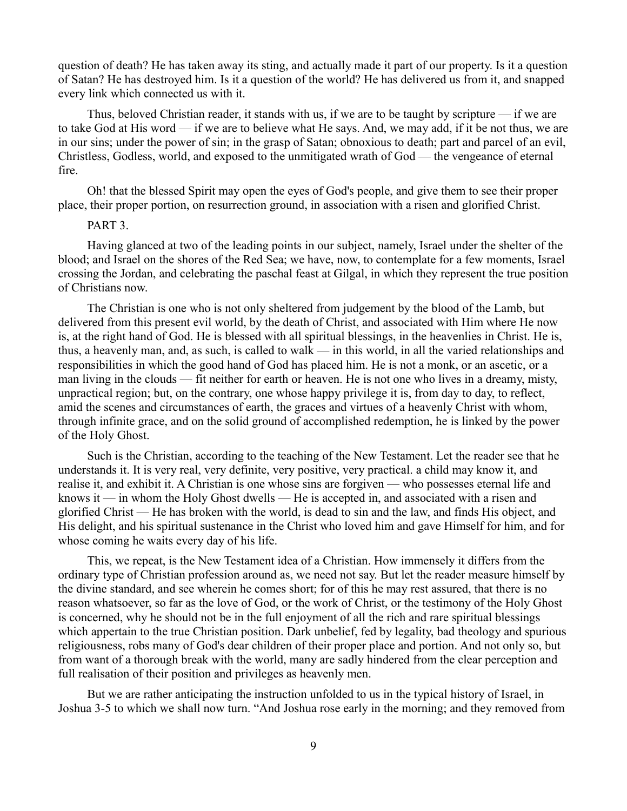question of death? He has taken away its sting, and actually made it part of our property. Is it a question of Satan? He has destroyed him. Is it a question of the world? He has delivered us from it, and snapped every link which connected us with it.

Thus, beloved Christian reader, it stands with us, if we are to be taught by scripture — if we are to take God at His word — if we are to believe what He says. And, we may add, if it be not thus, we are in our sins; under the power of sin; in the grasp of Satan; obnoxious to death; part and parcel of an evil, Christless, Godless, world, and exposed to the unmitigated wrath of God — the vengeance of eternal fire.

Oh! that the blessed Spirit may open the eyes of God's people, and give them to see their proper place, their proper portion, on resurrection ground, in association with a risen and glorified Christ.

# PART<sub>3</sub>.

Having glanced at two of the leading points in our subject, namely, Israel under the shelter of the blood; and Israel on the shores of the Red Sea; we have, now, to contemplate for a few moments, Israel crossing the Jordan, and celebrating the paschal feast at Gilgal, in which they represent the true position of Christians now.

The Christian is one who is not only sheltered from judgement by the blood of the Lamb, but delivered from this present evil world, by the death of Christ, and associated with Him where He now is, at the right hand of God. He is blessed with all spiritual blessings, in the heavenlies in Christ. He is, thus, a heavenly man, and, as such, is called to walk — in this world, in all the varied relationships and responsibilities in which the good hand of God has placed him. He is not a monk, or an ascetic, or a man living in the clouds — fit neither for earth or heaven. He is not one who lives in a dreamy, misty, unpractical region; but, on the contrary, one whose happy privilege it is, from day to day, to reflect, amid the scenes and circumstances of earth, the graces and virtues of a heavenly Christ with whom, through infinite grace, and on the solid ground of accomplished redemption, he is linked by the power of the Holy Ghost.

Such is the Christian, according to the teaching of the New Testament. Let the reader see that he understands it. It is very real, very definite, very positive, very practical. a child may know it, and realise it, and exhibit it. A Christian is one whose sins are forgiven — who possesses eternal life and knows it — in whom the Holy Ghost dwells — He is accepted in, and associated with a risen and glorified Christ — He has broken with the world, is dead to sin and the law, and finds His object, and His delight, and his spiritual sustenance in the Christ who loved him and gave Himself for him, and for whose coming he waits every day of his life.

This, we repeat, is the New Testament idea of a Christian. How immensely it differs from the ordinary type of Christian profession around as, we need not say. But let the reader measure himself by the divine standard, and see wherein he comes short; for of this he may rest assured, that there is no reason whatsoever, so far as the love of God, or the work of Christ, or the testimony of the Holy Ghost is concerned, why he should not be in the full enjoyment of all the rich and rare spiritual blessings which appertain to the true Christian position. Dark unbelief, fed by legality, bad theology and spurious religiousness, robs many of God's dear children of their proper place and portion. And not only so, but from want of a thorough break with the world, many are sadly hindered from the clear perception and full realisation of their position and privileges as heavenly men.

But we are rather anticipating the instruction unfolded to us in the typical history of Israel, in Joshua 3-5 to which we shall now turn. "And Joshua rose early in the morning; and they removed from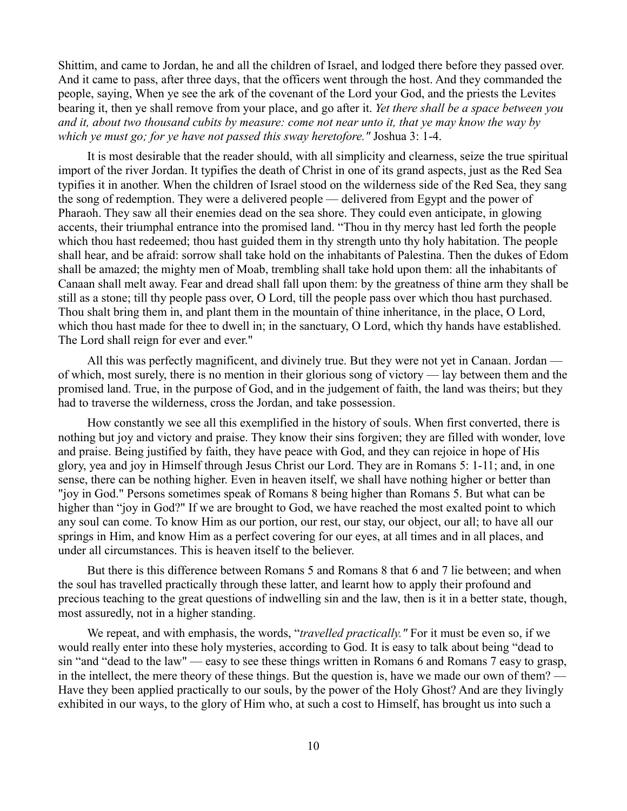Shittim, and came to Jordan, he and all the children of Israel, and lodged there before they passed over. And it came to pass, after three days, that the officers went through the host. And they commanded the people, saying, When ye see the ark of the covenant of the Lord your God, and the priests the Levites bearing it, then ye shall remove from your place, and go after it. *Yet there shall be a space between you and it, about two thousand cubits by measure: come not near unto it, that ye may know the way by which ye must go; for ye have not passed this sway heretofore."* Joshua 3: 1-4.

It is most desirable that the reader should, with all simplicity and clearness, seize the true spiritual import of the river Jordan. It typifies the death of Christ in one of its grand aspects, just as the Red Sea typifies it in another. When the children of Israel stood on the wilderness side of the Red Sea, they sang the song of redemption. They were a delivered people — delivered from Egypt and the power of Pharaoh. They saw all their enemies dead on the sea shore. They could even anticipate, in glowing accents, their triumphal entrance into the promised land. "Thou in thy mercy hast led forth the people which thou hast redeemed; thou hast guided them in thy strength unto thy holy habitation. The people shall hear, and be afraid: sorrow shall take hold on the inhabitants of Palestina. Then the dukes of Edom shall be amazed; the mighty men of Moab, trembling shall take hold upon them: all the inhabitants of Canaan shall melt away. Fear and dread shall fall upon them: by the greatness of thine arm they shall be still as a stone; till thy people pass over, O Lord, till the people pass over which thou hast purchased. Thou shalt bring them in, and plant them in the mountain of thine inheritance, in the place, O Lord, which thou hast made for thee to dwell in; in the sanctuary, O Lord, which thy hands have established. The Lord shall reign for ever and ever."

All this was perfectly magnificent, and divinely true. But they were not yet in Canaan. Jordan of which, most surely, there is no mention in their glorious song of victory — lay between them and the promised land. True, in the purpose of God, and in the judgement of faith, the land was theirs; but they had to traverse the wilderness, cross the Jordan, and take possession.

How constantly we see all this exemplified in the history of souls. When first converted, there is nothing but joy and victory and praise. They know their sins forgiven; they are filled with wonder, love and praise. Being justified by faith, they have peace with God, and they can rejoice in hope of His glory, yea and joy in Himself through Jesus Christ our Lord. They are in Romans 5: 1-11; and, in one sense, there can be nothing higher. Even in heaven itself, we shall have nothing higher or better than "joy in God." Persons sometimes speak of Romans 8 being higher than Romans 5. But what can be higher than "joy in God?" If we are brought to God, we have reached the most exalted point to which any soul can come. To know Him as our portion, our rest, our stay, our object, our all; to have all our springs in Him, and know Him as a perfect covering for our eyes, at all times and in all places, and under all circumstances. This is heaven itself to the believer.

But there is this difference between Romans 5 and Romans 8 that 6 and 7 lie between; and when the soul has travelled practically through these latter, and learnt how to apply their profound and precious teaching to the great questions of indwelling sin and the law, then is it in a better state, though, most assuredly, not in a higher standing.

We repeat, and with emphasis, the words, "*travelled practically."* For it must be even so, if we would really enter into these holy mysteries, according to God. It is easy to talk about being "dead to sin "and "dead to the law" — easy to see these things written in Romans 6 and Romans 7 easy to grasp, in the intellect, the mere theory of these things. But the question is, have we made our own of them? — Have they been applied practically to our souls, by the power of the Holy Ghost? And are they livingly exhibited in our ways, to the glory of Him who, at such a cost to Himself, has brought us into such a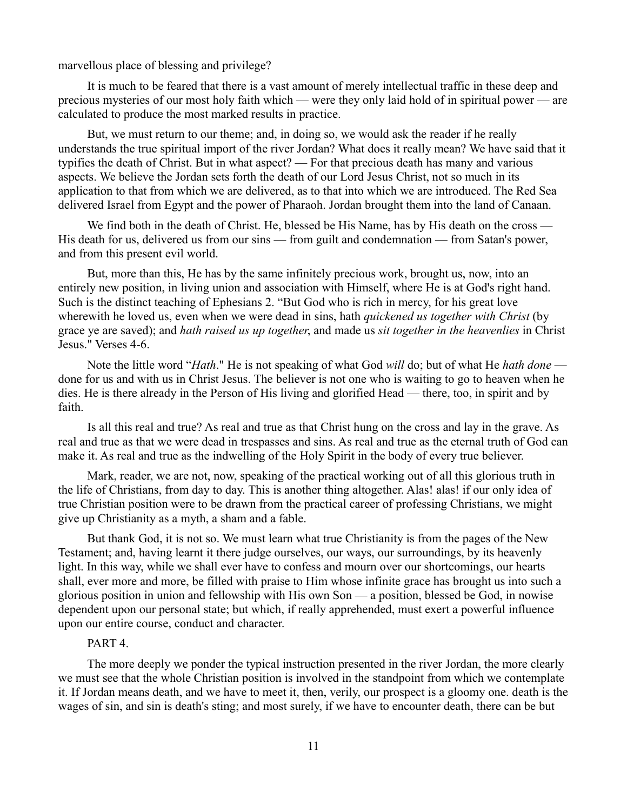marvellous place of blessing and privilege?

It is much to be feared that there is a vast amount of merely intellectual traffic in these deep and precious mysteries of our most holy faith which — were they only laid hold of in spiritual power — are calculated to produce the most marked results in practice.

But, we must return to our theme; and, in doing so, we would ask the reader if he really understands the true spiritual import of the river Jordan? What does it really mean? We have said that it typifies the death of Christ. But in what aspect? — For that precious death has many and various aspects. We believe the Jordan sets forth the death of our Lord Jesus Christ, not so much in its application to that from which we are delivered, as to that into which we are introduced. The Red Sea delivered Israel from Egypt and the power of Pharaoh. Jordan brought them into the land of Canaan.

We find both in the death of Christ. He, blessed be His Name, has by His death on the cross — His death for us, delivered us from our sins — from guilt and condemnation — from Satan's power, and from this present evil world.

But, more than this, He has by the same infinitely precious work, brought us, now, into an entirely new position, in living union and association with Himself, where He is at God's right hand. Such is the distinct teaching of Ephesians 2. "But God who is rich in mercy, for his great love wherewith he loved us, even when we were dead in sins, hath *quickened us together with Christ* (by grace ye are saved); and *hath raised us up together*, and made us *sit together in the heavenlies* in Christ Jesus." Verses 4-6.

Note the little word "*Hath*." He is not speaking of what God *will* do; but of what He *hath done* done for us and with us in Christ Jesus. The believer is not one who is waiting to go to heaven when he dies. He is there already in the Person of His living and glorified Head — there, too, in spirit and by faith.

Is all this real and true? As real and true as that Christ hung on the cross and lay in the grave. As real and true as that we were dead in trespasses and sins. As real and true as the eternal truth of God can make it. As real and true as the indwelling of the Holy Spirit in the body of every true believer.

Mark, reader, we are not, now, speaking of the practical working out of all this glorious truth in the life of Christians, from day to day. This is another thing altogether. Alas! alas! if our only idea of true Christian position were to be drawn from the practical career of professing Christians, we might give up Christianity as a myth, a sham and a fable.

But thank God, it is not so. We must learn what true Christianity is from the pages of the New Testament; and, having learnt it there judge ourselves, our ways, our surroundings, by its heavenly light. In this way, while we shall ever have to confess and mourn over our shortcomings, our hearts shall, ever more and more, be filled with praise to Him whose infinite grace has brought us into such a glorious position in union and fellowship with His own Son — a position, blessed be God, in nowise dependent upon our personal state; but which, if really apprehended, must exert a powerful influence upon our entire course, conduct and character.

# PART 4.

The more deeply we ponder the typical instruction presented in the river Jordan, the more clearly we must see that the whole Christian position is involved in the standpoint from which we contemplate it. If Jordan means death, and we have to meet it, then, verily, our prospect is a gloomy one. death is the wages of sin, and sin is death's sting; and most surely, if we have to encounter death, there can be but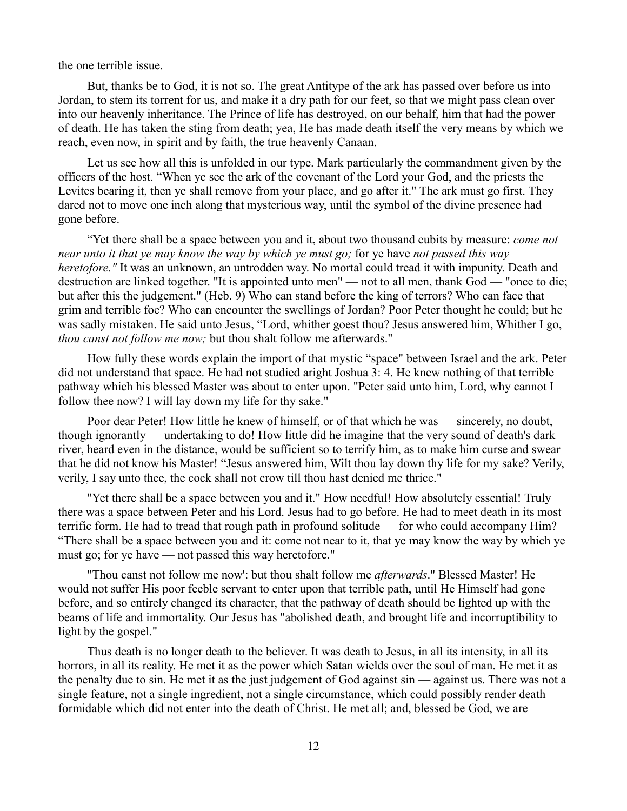the one terrible issue.

But, thanks be to God, it is not so. The great Antitype of the ark has passed over before us into Jordan, to stem its torrent for us, and make it a dry path for our feet, so that we might pass clean over into our heavenly inheritance. The Prince of life has destroyed, on our behalf, him that had the power of death. He has taken the sting from death; yea, He has made death itself the very means by which we reach, even now, in spirit and by faith, the true heavenly Canaan.

Let us see how all this is unfolded in our type. Mark particularly the commandment given by the officers of the host. "When ye see the ark of the covenant of the Lord your God, and the priests the Levites bearing it, then ye shall remove from your place, and go after it." The ark must go first. They dared not to move one inch along that mysterious way, until the symbol of the divine presence had gone before.

"Yet there shall be a space between you and it, about two thousand cubits by measure: *come not near unto it that ye may know the way by which ye must go;* for ye have *not passed this way heretofore."* It was an unknown, an untrodden way. No mortal could tread it with impunity. Death and destruction are linked together. "It is appointed unto men" — not to all men, thank God — "once to die; but after this the judgement." (Heb. 9) Who can stand before the king of terrors? Who can face that grim and terrible foe? Who can encounter the swellings of Jordan? Poor Peter thought he could; but he was sadly mistaken. He said unto Jesus, "Lord, whither goest thou? Jesus answered him, Whither I go, *thou canst not follow me now;* but thou shalt follow me afterwards."

How fully these words explain the import of that mystic "space" between Israel and the ark. Peter did not understand that space. He had not studied aright Joshua 3: 4. He knew nothing of that terrible pathway which his blessed Master was about to enter upon. "Peter said unto him, Lord, why cannot I follow thee now? I will lay down my life for thy sake."

Poor dear Peter! How little he knew of himself, or of that which he was — sincerely, no doubt, though ignorantly — undertaking to do! How little did he imagine that the very sound of death's dark river, heard even in the distance, would be sufficient so to terrify him, as to make him curse and swear that he did not know his Master! "Jesus answered him, Wilt thou lay down thy life for my sake? Verily, verily, I say unto thee, the cock shall not crow till thou hast denied me thrice."

"Yet there shall be a space between you and it." How needful! How absolutely essential! Truly there was a space between Peter and his Lord. Jesus had to go before. He had to meet death in its most terrific form. He had to tread that rough path in profound solitude — for who could accompany Him? "There shall be a space between you and it: come not near to it, that ye may know the way by which ye must go; for ye have — not passed this way heretofore."

"Thou canst not follow me now': but thou shalt follow me *afterwards*." Blessed Master! He would not suffer His poor feeble servant to enter upon that terrible path, until He Himself had gone before, and so entirely changed its character, that the pathway of death should be lighted up with the beams of life and immortality. Our Jesus has "abolished death, and brought life and incorruptibility to light by the gospel."

Thus death is no longer death to the believer. It was death to Jesus, in all its intensity, in all its horrors, in all its reality. He met it as the power which Satan wields over the soul of man. He met it as the penalty due to sin. He met it as the just judgement of God against sin — against us. There was not a single feature, not a single ingredient, not a single circumstance, which could possibly render death formidable which did not enter into the death of Christ. He met all; and, blessed be God, we are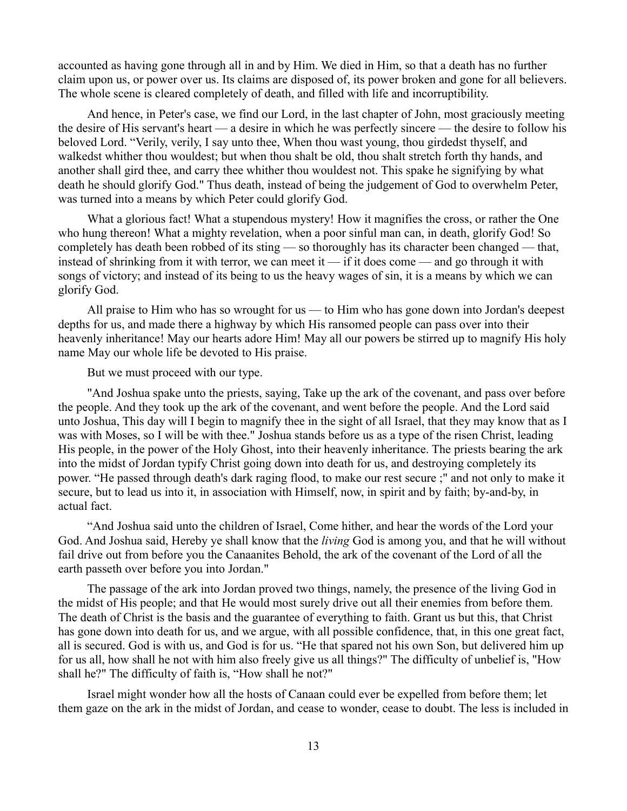accounted as having gone through all in and by Him. We died in Him, so that a death has no further claim upon us, or power over us. Its claims are disposed of, its power broken and gone for all believers. The whole scene is cleared completely of death, and filled with life and incorruptibility.

And hence, in Peter's case, we find our Lord, in the last chapter of John, most graciously meeting the desire of His servant's heart — a desire in which he was perfectly sincere — the desire to follow his beloved Lord. "Verily, verily, I say unto thee, When thou wast young, thou girdedst thyself, and walkedst whither thou wouldest; but when thou shalt be old, thou shalt stretch forth thy hands, and another shall gird thee, and carry thee whither thou wouldest not. This spake he signifying by what death he should glorify God." Thus death, instead of being the judgement of God to overwhelm Peter, was turned into a means by which Peter could glorify God.

What a glorious fact! What a stupendous mystery! How it magnifies the cross, or rather the One who hung thereon! What a mighty revelation, when a poor sinful man can, in death, glorify God! So completely has death been robbed of its sting — so thoroughly has its character been changed — that, instead of shrinking from it with terror, we can meet it — if it does come — and go through it with songs of victory; and instead of its being to us the heavy wages of sin, it is a means by which we can glorify God.

All praise to Him who has so wrought for us — to Him who has gone down into Jordan's deepest depths for us, and made there a highway by which His ransomed people can pass over into their heavenly inheritance! May our hearts adore Him! May all our powers be stirred up to magnify His holy name May our whole life be devoted to His praise.

But we must proceed with our type.

"And Joshua spake unto the priests, saying, Take up the ark of the covenant, and pass over before the people. And they took up the ark of the covenant, and went before the people. And the Lord said unto Joshua, This day will I begin to magnify thee in the sight of all Israel, that they may know that as I was with Moses, so I will be with thee." Joshua stands before us as a type of the risen Christ, leading His people, in the power of the Holy Ghost, into their heavenly inheritance. The priests bearing the ark into the midst of Jordan typify Christ going down into death for us, and destroying completely its power. "He passed through death's dark raging flood, to make our rest secure ;" and not only to make it secure, but to lead us into it, in association with Himself, now, in spirit and by faith; by-and-by, in actual fact.

"And Joshua said unto the children of Israel, Come hither, and hear the words of the Lord your God. And Joshua said, Hereby ye shall know that the *living* God is among you, and that he will without fail drive out from before you the Canaanites Behold, the ark of the covenant of the Lord of all the earth passeth over before you into Jordan."

The passage of the ark into Jordan proved two things, namely, the presence of the living God in the midst of His people; and that He would most surely drive out all their enemies from before them. The death of Christ is the basis and the guarantee of everything to faith. Grant us but this, that Christ has gone down into death for us, and we argue, with all possible confidence, that, in this one great fact, all is secured. God is with us, and God is for us. "He that spared not his own Son, but delivered him up for us all, how shall he not with him also freely give us all things?" The difficulty of unbelief is, "How shall he?" The difficulty of faith is, "How shall he not?"

Israel might wonder how all the hosts of Canaan could ever be expelled from before them; let them gaze on the ark in the midst of Jordan, and cease to wonder, cease to doubt. The less is included in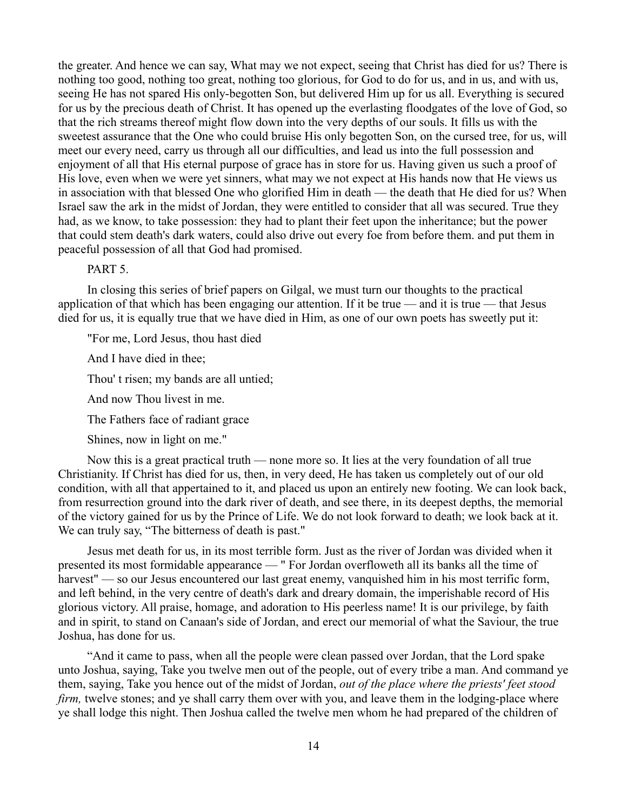the greater. And hence we can say, What may we not expect, seeing that Christ has died for us? There is nothing too good, nothing too great, nothing too glorious, for God to do for us, and in us, and with us, seeing He has not spared His only-begotten Son, but delivered Him up for us all. Everything is secured for us by the precious death of Christ. It has opened up the everlasting floodgates of the love of God, so that the rich streams thereof might flow down into the very depths of our souls. It fills us with the sweetest assurance that the One who could bruise His only begotten Son, on the cursed tree, for us, will meet our every need, carry us through all our difficulties, and lead us into the full possession and enjoyment of all that His eternal purpose of grace has in store for us. Having given us such a proof of His love, even when we were yet sinners, what may we not expect at His hands now that He views us in association with that blessed One who glorified Him in death — the death that He died for us? When Israel saw the ark in the midst of Jordan, they were entitled to consider that all was secured. True they had, as we know, to take possession: they had to plant their feet upon the inheritance; but the power that could stem death's dark waters, could also drive out every foe from before them. and put them in peaceful possession of all that God had promised.

#### PART<sub>5</sub>

In closing this series of brief papers on Gilgal, we must turn our thoughts to the practical application of that which has been engaging our attention. If it be true — and it is true — that Jesus died for us, it is equally true that we have died in Him, as one of our own poets has sweetly put it:

"For me, Lord Jesus, thou hast died

And I have died in thee;

Thou' t risen; my bands are all untied;

And now Thou livest in me.

The Fathers face of radiant grace

Shines, now in light on me."

Now this is a great practical truth — none more so. It lies at the very foundation of all true Christianity. If Christ has died for us, then, in very deed, He has taken us completely out of our old condition, with all that appertained to it, and placed us upon an entirely new footing. We can look back, from resurrection ground into the dark river of death, and see there, in its deepest depths, the memorial of the victory gained for us by the Prince of Life. We do not look forward to death; we look back at it. We can truly say, "The bitterness of death is past."

Jesus met death for us, in its most terrible form. Just as the river of Jordan was divided when it presented its most formidable appearance — " For Jordan overfloweth all its banks all the time of harvest" — so our Jesus encountered our last great enemy, vanquished him in his most terrific form, and left behind, in the very centre of death's dark and dreary domain, the imperishable record of His glorious victory. All praise, homage, and adoration to His peerless name! It is our privilege, by faith and in spirit, to stand on Canaan's side of Jordan, and erect our memorial of what the Saviour, the true Joshua, has done for us.

"And it came to pass, when all the people were clean passed over Jordan, that the Lord spake unto Joshua, saying, Take you twelve men out of the people, out of every tribe a man. And command ye them, saying, Take you hence out of the midst of Jordan, *out of the place where the priests' feet stood firm*, twelve stones; and ye shall carry them over with you, and leave them in the lodging-place where ye shall lodge this night. Then Joshua called the twelve men whom he had prepared of the children of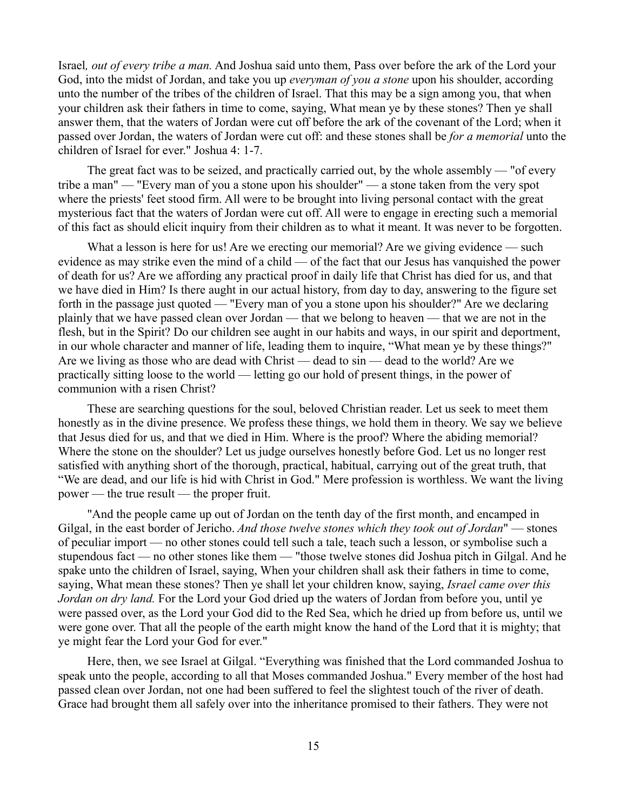Israel*, out of every tribe a man.* And Joshua said unto them, Pass over before the ark of the Lord your God, into the midst of Jordan, and take you up *everyman of you a stone* upon his shoulder, according unto the number of the tribes of the children of Israel. That this may be a sign among you, that when your children ask their fathers in time to come, saying, What mean ye by these stones? Then ye shall answer them, that the waters of Jordan were cut off before the ark of the covenant of the Lord; when it passed over Jordan, the waters of Jordan were cut off: and these stones shall be *for a memorial* unto the children of Israel for ever." Joshua 4: 1-7.

The great fact was to be seized, and practically carried out, by the whole assembly — "of every tribe a man" — "Every man of you a stone upon his shoulder" — a stone taken from the very spot where the priests' feet stood firm. All were to be brought into living personal contact with the great mysterious fact that the waters of Jordan were cut off. All were to engage in erecting such a memorial of this fact as should elicit inquiry from their children as to what it meant. It was never to be forgotten.

What a lesson is here for us! Are we erecting our memorial? Are we giving evidence — such evidence as may strike even the mind of a child — of the fact that our Jesus has vanquished the power of death for us? Are we affording any practical proof in daily life that Christ has died for us, and that we have died in Him? Is there aught in our actual history, from day to day, answering to the figure set forth in the passage just quoted — "Every man of you a stone upon his shoulder?" Are we declaring plainly that we have passed clean over Jordan — that we belong to heaven — that we are not in the flesh, but in the Spirit? Do our children see aught in our habits and ways, in our spirit and deportment, in our whole character and manner of life, leading them to inquire, "What mean ye by these things?" Are we living as those who are dead with Christ — dead to sin — dead to the world? Are we practically sitting loose to the world — letting go our hold of present things, in the power of communion with a risen Christ?

These are searching questions for the soul, beloved Christian reader. Let us seek to meet them honestly as in the divine presence. We profess these things, we hold them in theory. We say we believe that Jesus died for us, and that we died in Him. Where is the proof? Where the abiding memorial? Where the stone on the shoulder? Let us judge ourselves honestly before God. Let us no longer rest satisfied with anything short of the thorough, practical, habitual, carrying out of the great truth, that "We are dead, and our life is hid with Christ in God." Mere profession is worthless. We want the living power — the true result — the proper fruit.

"And the people came up out of Jordan on the tenth day of the first month, and encamped in Gilgal, in the east border of Jericho. *And those twelve stones which they took out of Jordan*" — stones of peculiar import — no other stones could tell such a tale, teach such a lesson, or symbolise such a stupendous fact — no other stones like them — "those twelve stones did Joshua pitch in Gilgal. And he spake unto the children of Israel, saying, When your children shall ask their fathers in time to come, saying, What mean these stones? Then ye shall let your children know, saying, *Israel came over this Jordan on dry land.* For the Lord your God dried up the waters of Jordan from before you, until ye were passed over, as the Lord your God did to the Red Sea, which he dried up from before us, until we were gone over. That all the people of the earth might know the hand of the Lord that it is mighty; that ye might fear the Lord your God for ever."

Here, then, we see Israel at Gilgal. "Everything was finished that the Lord commanded Joshua to speak unto the people, according to all that Moses commanded Joshua." Every member of the host had passed clean over Jordan, not one had been suffered to feel the slightest touch of the river of death. Grace had brought them all safely over into the inheritance promised to their fathers. They were not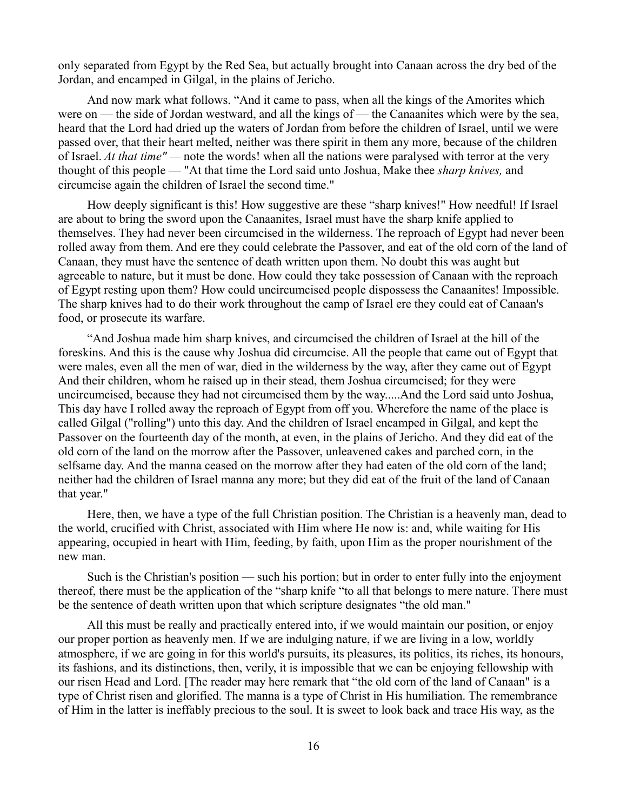only separated from Egypt by the Red Sea, but actually brought into Canaan across the dry bed of the Jordan, and encamped in Gilgal, in the plains of Jericho.

And now mark what follows. "And it came to pass, when all the kings of the Amorites which were on — the side of Jordan westward, and all the kings of — the Canaanites which were by the sea, heard that the Lord had dried up the waters of Jordan from before the children of Israel, until we were passed over, that their heart melted, neither was there spirit in them any more, because of the children of Israel. *At that time" —* note the words! when all the nations were paralysed with terror at the very thought of this people — "At that time the Lord said unto Joshua, Make thee *sharp knives,* and circumcise again the children of Israel the second time."

How deeply significant is this! How suggestive are these "sharp knives!" How needful! If Israel are about to bring the sword upon the Canaanites, Israel must have the sharp knife applied to themselves. They had never been circumcised in the wilderness. The reproach of Egypt had never been rolled away from them. And ere they could celebrate the Passover, and eat of the old corn of the land of Canaan, they must have the sentence of death written upon them. No doubt this was aught but agreeable to nature, but it must be done. How could they take possession of Canaan with the reproach of Egypt resting upon them? How could uncircumcised people dispossess the Canaanites! Impossible. The sharp knives had to do their work throughout the camp of Israel ere they could eat of Canaan's food, or prosecute its warfare.

"And Joshua made him sharp knives, and circumcised the children of Israel at the hill of the foreskins. And this is the cause why Joshua did circumcise. All the people that came out of Egypt that were males, even all the men of war, died in the wilderness by the way, after they came out of Egypt And their children, whom he raised up in their stead, them Joshua circumcised; for they were uncircumcised, because they had not circumcised them by the way.....And the Lord said unto Joshua, This day have I rolled away the reproach of Egypt from off you. Wherefore the name of the place is called Gilgal ("rolling") unto this day. And the children of Israel encamped in Gilgal, and kept the Passover on the fourteenth day of the month, at even, in the plains of Jericho. And they did eat of the old corn of the land on the morrow after the Passover, unleavened cakes and parched corn, in the selfsame day. And the manna ceased on the morrow after they had eaten of the old corn of the land; neither had the children of Israel manna any more; but they did eat of the fruit of the land of Canaan that year."

Here, then, we have a type of the full Christian position. The Christian is a heavenly man, dead to the world, crucified with Christ, associated with Him where He now is: and, while waiting for His appearing, occupied in heart with Him, feeding, by faith, upon Him as the proper nourishment of the new man.

Such is the Christian's position — such his portion; but in order to enter fully into the enjoyment thereof, there must be the application of the "sharp knife "to all that belongs to mere nature. There must be the sentence of death written upon that which scripture designates "the old man."

All this must be really and practically entered into, if we would maintain our position, or enjoy our proper portion as heavenly men. If we are indulging nature, if we are living in a low, worldly atmosphere, if we are going in for this world's pursuits, its pleasures, its politics, its riches, its honours, its fashions, and its distinctions, then, verily, it is impossible that we can be enjoying fellowship with our risen Head and Lord. [The reader may here remark that "the old corn of the land of Canaan" is a type of Christ risen and glorified. The manna is a type of Christ in His humiliation. The remembrance of Him in the latter is ineffably precious to the soul. It is sweet to look back and trace His way, as the